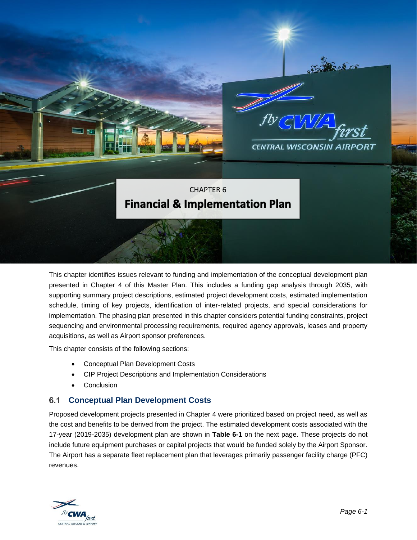

This chapter identifies issues relevant to funding and implementation of the conceptual development plan presented in Chapter 4 of this Master Plan. This includes a funding gap analysis through 2035, with supporting summary project descriptions, estimated project development costs, estimated implementation schedule, timing of key projects, identification of inter-related projects, and special considerations for implementation. The phasing plan presented in this chapter considers potential funding constraints, project sequencing and environmental processing requirements, required agency approvals, leases and property acquisitions, as well as Airport sponsor preferences.

This chapter consists of the following sections:

- Conceptual Plan Development Costs
- CIP Project Descriptions and Implementation Considerations
- **Conclusion**

## **Conceptual Plan Development Costs**  $6.1$

Proposed development projects presented in Chapter 4 were prioritized based on project need, as well as the cost and benefits to be derived from the project. The estimated development costs associated with the 17-year (2019-2035) development plan are shown in **Table 6-1** on the next page. These projects do not include future equipment purchases or capital projects that would be funded solely by the Airport Sponsor. The Airport has a separate fleet replacement plan that leverages primarily passenger facility charge (PFC) revenues.

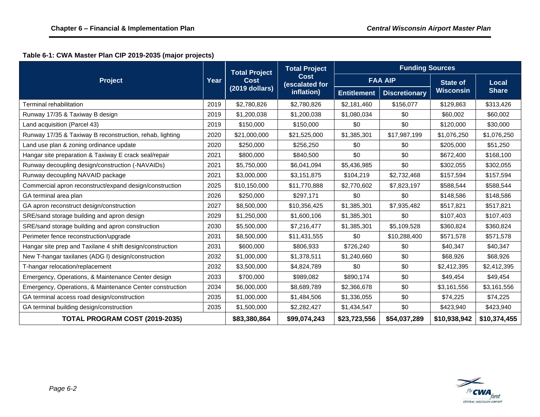# **Table 6-1: CWA Master Plan CIP 2019-2035 (major projects)**

| <b>Project</b>                                            | Year         | <b>Total Project</b><br><b>Cost</b><br>(2019 dollars) | <b>Total Project</b><br><b>Cost</b><br>(escalated for<br>inflation) | <b>Funding Sources</b> |                      |                  |              |
|-----------------------------------------------------------|--------------|-------------------------------------------------------|---------------------------------------------------------------------|------------------------|----------------------|------------------|--------------|
|                                                           |              |                                                       |                                                                     | <b>FAA AIP</b>         |                      | <b>State of</b>  | <b>Local</b> |
|                                                           |              |                                                       |                                                                     | <b>Entitlement</b>     | <b>Discretionary</b> | <b>Wisconsin</b> | <b>Share</b> |
| Terminal rehabilitation                                   | 2019         | \$2,780,826                                           | \$2,780,826                                                         | \$2,181,460            | \$156,077            | \$129,863        | \$313,426    |
| Runway 17/35 & Taxiway B design                           | 2019         | \$1,200,038                                           | \$1,200,038                                                         | \$1,080,034            | \$0                  | \$60,002         | \$60,002     |
| Land acquisition (Parcel 43)                              | 2019         | \$150,000                                             | \$150,000                                                           | \$0                    | \$0                  | \$120,000        | \$30,000     |
| Runway 17/35 & Taxiway B reconstruction, rehab, lighting  | 2020         | \$21,000,000                                          | \$21,525,000                                                        | \$1,385,301            | \$17,987,199         | \$1,076,250      | \$1,076,250  |
| Land use plan & zoning ordinance update                   | 2020         | \$250,000                                             | \$256,250                                                           | \$0                    | \$0                  | \$205,000        | \$51,250     |
| Hangar site preparation & Taxiway E crack seal/repair     | 2021         | \$800,000                                             | \$840,500                                                           | \$0                    | \$0                  | \$672,400        | \$168,100    |
| Runway decoupling design/construction (-NAVAIDs)          | 2021         | \$5,750,000                                           | \$6,041,094                                                         | \$5,436,985            | \$0                  | \$302,055        | \$302,055    |
| Runway decoupling NAVAID package                          | 2021         | \$3,000,000                                           | \$3,151,875                                                         | \$104,219              | \$2,732,468          | \$157,594        | \$157,594    |
| Commercial apron reconstruct/expand design/construction   | 2025         | \$10,150,000                                          | \$11,770,888                                                        | \$2,770,602            | \$7,823,197          | \$588,544        | \$588,544    |
| GA terminal area plan                                     | 2026         | \$250,000                                             | \$297,171                                                           | \$0                    | \$0                  | \$148,586        | \$148,586    |
| GA apron reconstruct design/construction                  | 2027         | \$8,500,000                                           | \$10,356,425                                                        | \$1,385,301            | \$7,935,482          | \$517,821        | \$517,821    |
| SRE/sand storage building and apron design                | 2029         | \$1,250,000                                           | \$1,600,106                                                         | \$1,385,301            | \$0                  | \$107,403        | \$107,403    |
| SRE/sand storage building and apron construction          | 2030         | \$5,500,000                                           | \$7,216,477                                                         | \$1,385,301            | \$5,109,528          | \$360,824        | \$360,824    |
| Perimeter fence reconstruction/upgrade                    | 2031         | \$8,500,000                                           | \$11,431,555                                                        | \$0                    | \$10,288,400         | \$571,578        | \$571,578    |
| Hangar site prep and Taxilane 4 shift design/construction | 2031         | \$600,000                                             | \$806,933                                                           | \$726,240              | \$0                  | \$40,347         | \$40,347     |
| New T-hangar taxilanes (ADG I) design/construction        | 2032         | \$1,000,000                                           | \$1,378,511                                                         | \$1,240,660            | \$0                  | \$68,926         | \$68,926     |
| T-hangar relocation/replacement                           | 2032         | \$3,500,000                                           | \$4,824,789                                                         | \$0                    | \$0                  | \$2,412,395      | \$2,412,395  |
| Emergency, Operations, & Maintenance Center design        | 2033         | \$700,000                                             | \$989,082                                                           | \$890,174              | \$0                  | \$49,454         | \$49,454     |
| Emergency, Operations, & Maintenance Center construction  | 2034         | \$6,000,000                                           | \$8,689,789                                                         | \$2,366,678            | \$0                  | \$3,161,556      | \$3,161,556  |
| GA terminal access road design/construction               | 2035         | \$1,000,000                                           | \$1,484,506                                                         | \$1,336,055            | \$0                  | \$74,225         | \$74,225     |
| GA terminal building design/construction                  | 2035         | \$1,500,000                                           | \$2,282,427                                                         | \$1,434,547            | \$0                  | \$423,940        | \$423,940    |
| TOTAL PROGRAM COST (2019-2035)                            | \$83,380,864 | \$99,074,243                                          | \$23,723,556                                                        | \$54,037,289           | \$10,938,942         | \$10,374,455     |              |

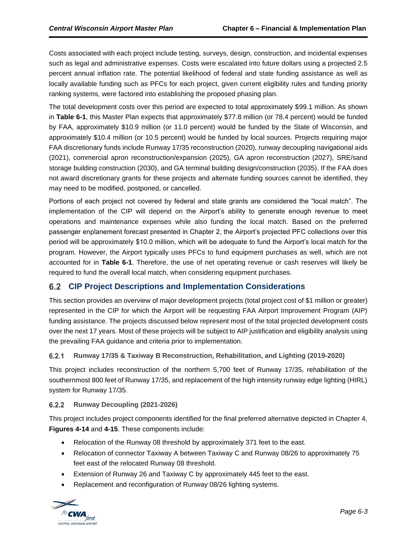Costs associated with each project include testing, surveys, design, construction, and incidental expenses such as legal and administrative expenses. Costs were escalated into future dollars using a projected 2.5 percent annual inflation rate. The potential likelihood of federal and state funding assistance as well as locally available funding such as PFCs for each project, given current eligibility rules and funding priority ranking systems, were factored into establishing the proposed phasing plan.

The total development costs over this period are expected to total approximately \$99.1 million. As shown in **Table 6-1**, this Master Plan expects that approximately \$77.8 million (or 78.4 percent) would be funded by FAA, approximately \$10.9 million (or 11.0 percent) would be funded by the State of Wisconsin, and approximately \$10.4 million (or 10.5 percent) would be funded by local sources. Projects requiring major FAA discretionary funds include Runway 17/35 reconstruction (2020), runway decoupling navigational aids (2021), commercial apron reconstruction/expansion (2025), GA apron reconstruction (2027), SRE/sand storage building construction (2030), and GA terminal building design/construction (2035). If the FAA does not award discretionary grants for these projects and alternate funding sources cannot be identified, they may need to be modified, postponed, or cancelled.

Portions of each project not covered by federal and state grants are considered the "local match". The implementation of the CIP will depend on the Airport's ability to generate enough revenue to meet operations and maintenance expenses while also funding the local match. Based on the preferred passenger enplanement forecast presented in Chapter 2, the Airport's projected PFC collections over this period will be approximately \$10.0 million, which will be adequate to fund the Airport's local match for the program. However, the Airport typically uses PFCs to fund equipment purchases as well, which are not accounted for in **Table 6-1**. Therefore, the use of net operating revenue or cash reserves will likely be required to fund the overall local match, when considering equipment purchases.

# **CIP Project Descriptions and Implementation Considerations**

This section provides an overview of major development projects (total project cost of \$1 million or greater) represented in the CIP for which the Airport will be requesting FAA Airport Improvement Program (AIP) funding assistance. The projects discussed below represent most of the total projected development costs over the next 17 years. Most of these projects will be subject to AIP justification and eligibility analysis using the prevailing FAA guidance and criteria prior to implementation.

## $6.2.1$ **Runway 17/35 & Taxiway B Reconstruction, Rehabilitation, and Lighting (2019-2020)**

This project includes reconstruction of the northern 5,700 feet of Runway 17/35, rehabilitation of the southernmost 800 feet of Runway 17/35, and replacement of the high intensity runway edge lighting (HIRL) system for Runway 17/35.

## $6.2.2$ **Runway Decoupling (2021-2026)**

This project includes project components identified for the final preferred alternative depicted in Chapter 4, **Figures 4-14** and **4-15**. These components include:

- Relocation of the Runway 08 threshold by approximately 371 feet to the east.
- Relocation of connector Taxiway A between Taxiway C and Runway 08/26 to approximately 75 feet east of the relocated Runway 08 threshold.
- Extension of Runway 26 and Taxiway C by approximately 445 feet to the east.
- Replacement and reconfiguration of Runway 08/26 lighting systems.

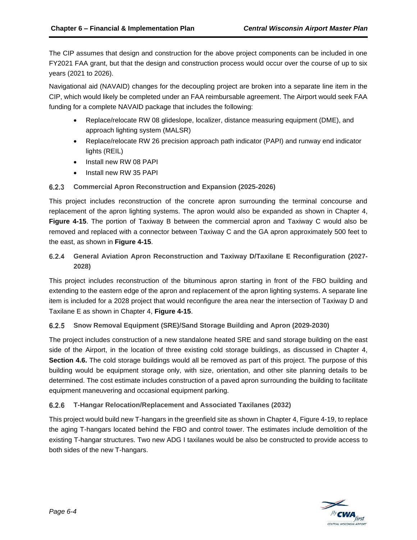The CIP assumes that design and construction for the above project components can be included in one FY2021 FAA grant, but that the design and construction process would occur over the course of up to six years (2021 to 2026).

Navigational aid (NAVAID) changes for the decoupling project are broken into a separate line item in the CIP, which would likely be completed under an FAA reimbursable agreement. The Airport would seek FAA funding for a complete NAVAID package that includes the following:

- Replace/relocate RW 08 glideslope, localizer, distance measuring equipment (DME), and approach lighting system (MALSR)
- Replace/relocate RW 26 precision approach path indicator (PAPI) and runway end indicator lights (REIL)
- Install new RW 08 PAPI
- Install new RW 35 PAPI

## **Commercial Apron Reconstruction and Expansion (2025-2026)**

This project includes reconstruction of the concrete apron surrounding the terminal concourse and replacement of the apron lighting systems. The apron would also be expanded as shown in Chapter 4, **Figure 4-15**. The portion of Taxiway B between the commercial apron and Taxiway C would also be removed and replaced with a connector between Taxiway C and the GA apron approximately 500 feet to the east, as shown in **Figure 4-15**.

## $6.2.4$ **General Aviation Apron Reconstruction and Taxiway D/Taxilane E Reconfiguration (2027- 2028)**

This project includes reconstruction of the bituminous apron starting in front of the FBO building and extending to the eastern edge of the apron and replacement of the apron lighting systems. A separate line item is included for a 2028 project that would reconfigure the area near the intersection of Taxiway D and Taxilane E as shown in Chapter 4, **Figure 4-15**.

## **Snow Removal Equipment (SRE)/Sand Storage Building and Apron (2029-2030)**  $6.2.5$

The project includes construction of a new standalone heated SRE and sand storage building on the east side of the Airport, in the location of three existing cold storage buildings, as discussed in Chapter 4, **Section 4.6.** The cold storage buildings would all be removed as part of this project. The purpose of this building would be equipment storage only, with size, orientation, and other site planning details to be determined. The cost estimate includes construction of a paved apron surrounding the building to facilitate equipment maneuvering and occasional equipment parking.

## $6.2.6$ **T-Hangar Relocation/Replacement and Associated Taxilanes (2032)**

This project would build new T-hangars in the greenfield site as shown in Chapter 4, Figure 4-19, to replace the aging T-hangars located behind the FBO and control tower. The estimates include demolition of the existing T-hangar structures. Two new ADG I taxilanes would be also be constructed to provide access to both sides of the new T-hangars.